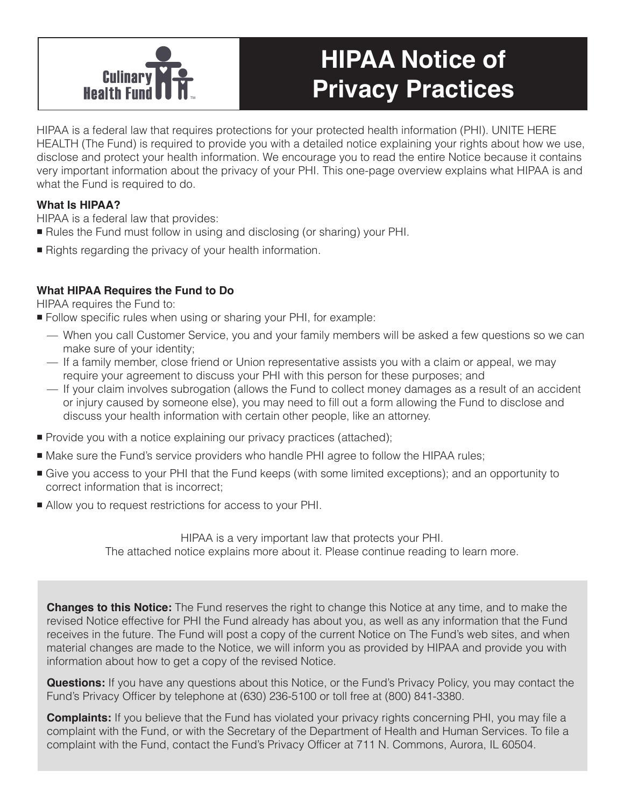

# **HIPAA Notice of Privacy Practices**

HIPAA is a federal law that requires protections for your protected health information (PHI). UNITE HERE HEALTH (The Fund) is required to provide you with a detailed notice explaining your rights about how we use, disclose and protect your health information. We encourage you to read the entire Notice because it contains very important information about the privacy of your PHI. This one-page overview explains what HIPAA is and what the Fund is required to do.

## **What Is HIPAA?**

HIPAA is a federal law that provides:

- Rules the Fund must follow in using and disclosing (or sharing) your PHI.
- Rights regarding the privacy of your health information.

# **What HIPAA Requires the Fund to Do**

HIPAA requires the Fund to:

- Follow specific rules when using or sharing your PHI, for example:
	- When you call Customer Service, you and your family members will be asked a few questions so we can make sure of your identity;
	- If a family member, close friend or Union representative assists you with a claim or appeal, we may require your agreement to discuss your PHI with this person for these purposes; and
	- If your claim involves subrogation (allows the Fund to collect money damages as a result of an accident or injury caused by someone else), you may need to fill out a form allowing the Fund to disclose and discuss your health information with certain other people, like an attorney.
- **Provide you with a notice explaining our privacy practices (attached);**
- Make sure the Fund's service providers who handle PHI agree to follow the HIPAA rules;
- Give you access to your PHI that the Fund keeps (with some limited exceptions); and an opportunity to correct information that is incorrect;
- Allow you to request restrictions for access to your PHI.

HIPAA is a very important law that protects your PHI. The attached notice explains more about it. Please continue reading to learn more.

**Changes to this Notice:** The Fund reserves the right to change this Notice at any time, and to make the revised Notice effective for PHI the Fund already has about you, as well as any information that the Fund receives in the future. The Fund will post a copy of the current Notice on The Fund's web sites, and when material changes are made to the Notice, we will inform you as provided by HIPAA and provide you with information about how to get a copy of the revised Notice.

**Questions:** If you have any questions about this Notice, or the Fund's Privacy Policy, you may contact the Fund's Privacy Officer by telephone at (630) 236-5100 or toll free at (800) 841-3380.

**Complaints:** If you believe that the Fund has violated your privacy rights concerning PHI, you may file a complaint with the Fund, or with the Secretary of the Department of Health and Human Services. To file a complaint with the Fund, contact the Fund's Privacy Officer at 711 N. Commons, Aurora, IL 60504.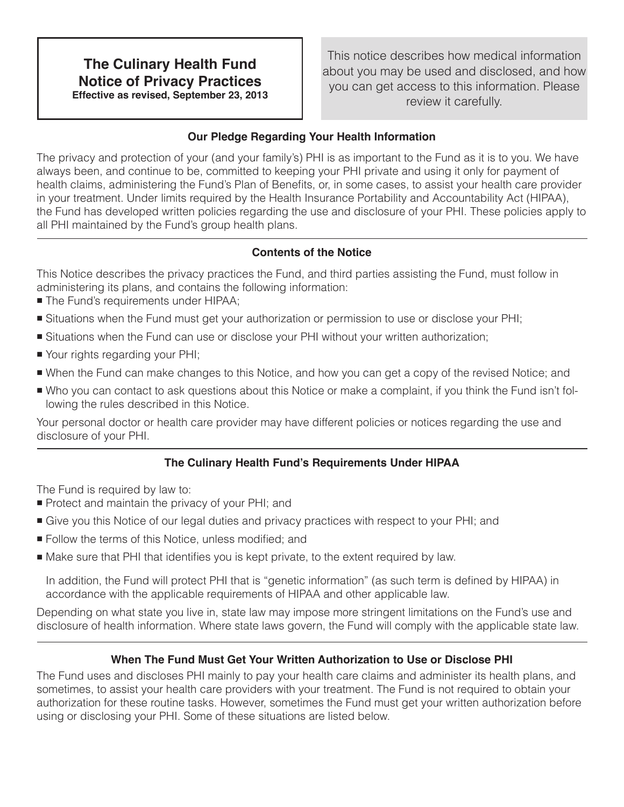# **The Culinary Health Fund Notice of Privacy Practices Effective as revised, September 23, 2013**

This notice describes how medical information about you may be used and disclosed, and how you can get access to this information. Please review it carefully.

## **Our Pledge Regarding Your Health Information**

The privacy and protection of your (and your family's) PHI is as important to the Fund as it is to you. We have always been, and continue to be, committed to keeping your PHI private and using it only for payment of health claims, administering the Fund's Plan of Benefits, or, in some cases, to assist your health care provider in your treatment. Under limits required by the Health Insurance Portability and Accountability Act (HIPAA), the Fund has developed written policies regarding the use and disclosure of your PHI. These policies apply to all PHI maintained by the Fund's group health plans.

# **Contents of the Notice**

This Notice describes the privacy practices the Fund, and third parties assisting the Fund, must follow in administering its plans, and contains the following information:

- The Fund's requirements under HIPAA;
- Situations when the Fund must get your authorization or permission to use or disclose your PHI;
- Situations when the Fund can use or disclose your PHI without your written authorization;
- Your rights regarding your PHI;
- When the Fund can make changes to this Notice, and how you can get a copy of the revised Notice; and
- Who you can contact to ask questions about this Notice or make a complaint, if you think the Fund isn't following the rules described in this Notice.

Your personal doctor or health care provider may have different policies or notices regarding the use and disclosure of your PHI.

# **The Culinary Health Fund's Requirements Under HIPAA**

The Fund is required by law to:

- **Protect and maintain the privacy of your PHI; and**
- Give you this Notice of our legal duties and privacy practices with respect to your PHI; and
- **Follow the terms of this Notice, unless modified; and**
- Make sure that PHI that identifies you is kept private, to the extent required by law.

In addition, the Fund will protect PHI that is "genetic information" (as such term is defined by HIPAA) in accordance with the applicable requirements of HIPAA and other applicable law.

Depending on what state you live in, state law may impose more stringent limitations on the Fund's use and disclosure of health information. Where state laws govern, the Fund will comply with the applicable state law.

## **When The Fund Must Get Your Written Authorization to Use or Disclose PHI**

The Fund uses and discloses PHI mainly to pay your health care claims and administer its health plans, and sometimes, to assist your health care providers with your treatment. The Fund is not required to obtain your authorization for these routine tasks. However, sometimes the Fund must get your written authorization before using or disclosing your PHI. Some of these situations are listed below.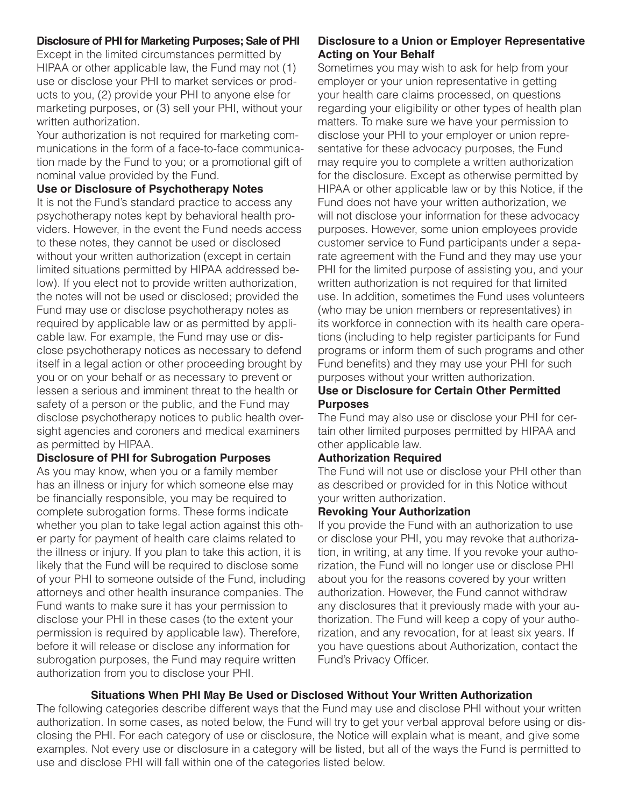## **Disclosure of PHI for Marketing Purposes; Sale of PHI**

Except in the limited circumstances permitted by HIPAA or other applicable law, the Fund may not (1) use or disclose your PHI to market services or products to you, (2) provide your PHI to anyone else for marketing purposes, or (3) sell your PHI, without your written authorization.

Your authorization is not required for marketing communications in the form of a face-to-face communication made by the Fund to you; or a promotional gift of nominal value provided by the Fund.

#### **Use or Disclosure of Psychotherapy Notes**

It is not the Fund's standard practice to access any psychotherapy notes kept by behavioral health providers. However, in the event the Fund needs access to these notes, they cannot be used or disclosed without your written authorization (except in certain limited situations permitted by HIPAA addressed below). If you elect not to provide written authorization, the notes will not be used or disclosed; provided the Fund may use or disclose psychotherapy notes as required by applicable law or as permitted by applicable law. For example, the Fund may use or disclose psychotherapy notices as necessary to defend itself in a legal action or other proceeding brought by you or on your behalf or as necessary to prevent or lessen a serious and imminent threat to the health or safety of a person or the public, and the Fund may disclose psychotherapy notices to public health oversight agencies and coroners and medical examiners as permitted by HIPAA.

#### **Disclosure of PHI for Subrogation Purposes**

As you may know, when you or a family member has an illness or injury for which someone else may be financially responsible, you may be required to complete subrogation forms. These forms indicate whether you plan to take legal action against this other party for payment of health care claims related to the illness or injury. If you plan to take this action, it is likely that the Fund will be required to disclose some of your PHI to someone outside of the Fund, including attorneys and other health insurance companies. The Fund wants to make sure it has your permission to disclose your PHI in these cases (to the extent your permission is required by applicable law). Therefore, before it will release or disclose any information for subrogation purposes, the Fund may require written authorization from you to disclose your PHI.

## **Disclosure to a Union or Employer Representative Acting on Your Behalf**

Sometimes you may wish to ask for help from your employer or your union representative in getting your health care claims processed, on questions regarding your eligibility or other types of health plan matters. To make sure we have your permission to disclose your PHI to your employer or union representative for these advocacy purposes, the Fund may require you to complete a written authorization for the disclosure. Except as otherwise permitted by HIPAA or other applicable law or by this Notice, if the Fund does not have your written authorization, we will not disclose your information for these advocacy purposes. However, some union employees provide customer service to Fund participants under a separate agreement with the Fund and they may use your PHI for the limited purpose of assisting you, and your written authorization is not required for that limited use. In addition, sometimes the Fund uses volunteers (who may be union members or representatives) in its workforce in connection with its health care operations (including to help register participants for Fund programs or inform them of such programs and other Fund benefits) and they may use your PHI for such purposes without your written authorization.

#### **Use or Disclosure for Certain Other Permitted Purposes**

The Fund may also use or disclose your PHI for certain other limited purposes permitted by HIPAA and other applicable law.

#### **Authorization Required**

The Fund will not use or disclose your PHI other than as described or provided for in this Notice without your written authorization.

#### **Revoking Your Authorization**

If you provide the Fund with an authorization to use or disclose your PHI, you may revoke that authorization, in writing, at any time. If you revoke your authorization, the Fund will no longer use or disclose PHI about you for the reasons covered by your written authorization. However, the Fund cannot withdraw any disclosures that it previously made with your authorization. The Fund will keep a copy of your authorization, and any revocation, for at least six years. If you have questions about Authorization, contact the Fund's Privacy Officer.

#### **Situations When PHI May Be Used or Disclosed Without Your Written Authorization**

The following categories describe different ways that the Fund may use and disclose PHI without your written authorization. In some cases, as noted below, the Fund will try to get your verbal approval before using or disclosing the PHI. For each category of use or disclosure, the Notice will explain what is meant, and give some examples. Not every use or disclosure in a category will be listed, but all of the ways the Fund is permitted to use and disclose PHI will fall within one of the categories listed below.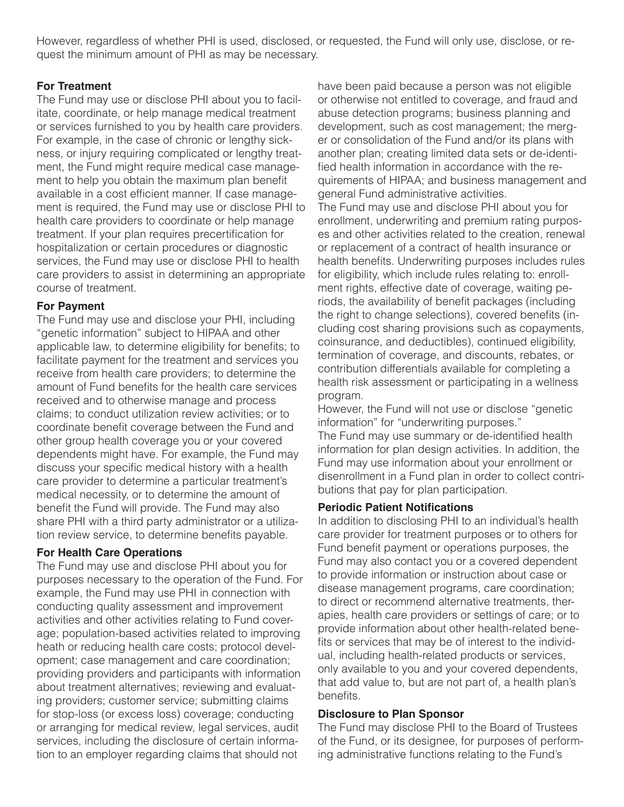However, regardless of whether PHI is used, disclosed, or requested, the Fund will only use, disclose, or request the minimum amount of PHI as may be necessary.

# **For Treatment**

The Fund may use or disclose PHI about you to facilitate, coordinate, or help manage medical treatment or services furnished to you by health care providers. For example, in the case of chronic or lengthy sickness, or injury requiring complicated or lengthy treatment, the Fund might require medical case management to help you obtain the maximum plan benefit available in a cost efficient manner. If case management is required, the Fund may use or disclose PHI to health care providers to coordinate or help manage treatment. If your plan requires precertification for hospitalization or certain procedures or diagnostic services, the Fund may use or disclose PHI to health care providers to assist in determining an appropriate course of treatment.

## **For Payment**

The Fund may use and disclose your PHI, including "genetic information" subject to HIPAA and other applicable law, to determine eligibility for benefits; to facilitate payment for the treatment and services you receive from health care providers; to determine the amount of Fund benefits for the health care services received and to otherwise manage and process claims; to conduct utilization review activities; or to coordinate benefit coverage between the Fund and other group health coverage you or your covered dependents might have. For example, the Fund may discuss your specific medical history with a health care provider to determine a particular treatment's medical necessity, or to determine the amount of benefit the Fund will provide. The Fund may also share PHI with a third party administrator or a utilization review service, to determine benefits payable.

## **For Health Care Operations**

The Fund may use and disclose PHI about you for purposes necessary to the operation of the Fund. For example, the Fund may use PHI in connection with conducting quality assessment and improvement activities and other activities relating to Fund coverage; population-based activities related to improving heath or reducing health care costs; protocol development; case management and care coordination; providing providers and participants with information about treatment alternatives; reviewing and evaluating providers; customer service; submitting claims for stop-loss (or excess loss) coverage; conducting or arranging for medical review, legal services, audit services, including the disclosure of certain information to an employer regarding claims that should not

have been paid because a person was not eligible or otherwise not entitled to coverage, and fraud and abuse detection programs; business planning and development, such as cost management; the merger or consolidation of the Fund and/or its plans with another plan; creating limited data sets or de-identified health information in accordance with the requirements of HIPAA; and business management and general Fund administrative activities.

The Fund may use and disclose PHI about you for enrollment, underwriting and premium rating purposes and other activities related to the creation, renewal or replacement of a contract of health insurance or health benefits. Underwriting purposes includes rules for eligibility, which include rules relating to: enrollment rights, effective date of coverage, waiting periods, the availability of benefit packages (including the right to change selections), covered benefits (including cost sharing provisions such as copayments, coinsurance, and deductibles), continued eligibility, termination of coverage, and discounts, rebates, or contribution differentials available for completing a health risk assessment or participating in a wellness program.

However, the Fund will not use or disclose "genetic information" for "underwriting purposes."

The Fund may use summary or de-identified health information for plan design activities. In addition, the Fund may use information about your enrollment or disenrollment in a Fund plan in order to collect contributions that pay for plan participation.

## **Periodic Patient Notifications**

In addition to disclosing PHI to an individual's health care provider for treatment purposes or to others for Fund benefit payment or operations purposes, the Fund may also contact you or a covered dependent to provide information or instruction about case or disease management programs, care coordination; to direct or recommend alternative treatments, therapies, health care providers or settings of care; or to provide information about other health-related benefits or services that may be of interest to the individual, including health-related products or services, only available to you and your covered dependents, that add value to, but are not part of, a health plan's benefits.

## **Disclosure to Plan Sponsor**

The Fund may disclose PHI to the Board of Trustees of the Fund, or its designee, for purposes of performing administrative functions relating to the Fund's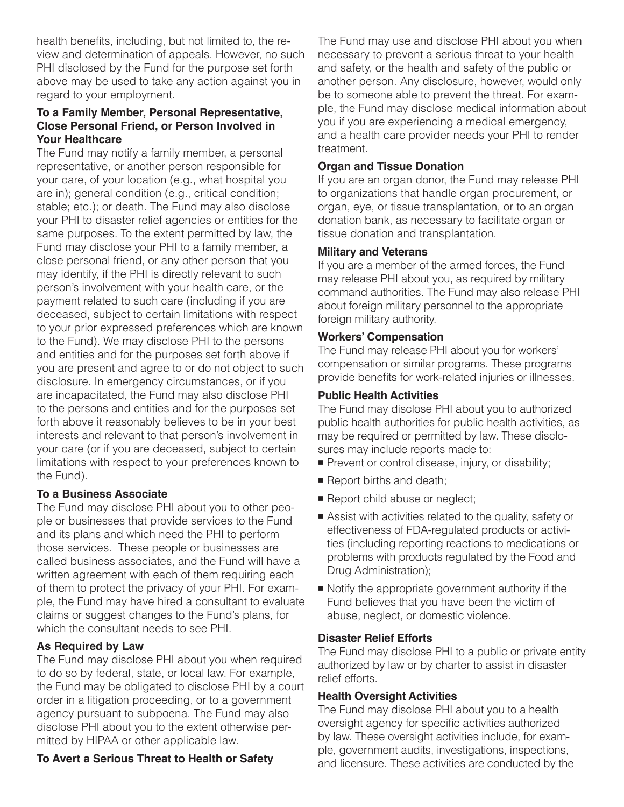health benefits, including, but not limited to, the review and determination of appeals. However, no such PHI disclosed by the Fund for the purpose set forth above may be used to take any action against you in regard to your employment.

#### **To a Family Member, Personal Representative, Close Personal Friend, or Person Involved in Your Healthcare**

The Fund may notify a family member, a personal representative, or another person responsible for your care, of your location (e.g., what hospital you are in); general condition (e.g., critical condition; stable; etc.); or death. The Fund may also disclose your PHI to disaster relief agencies or entities for the same purposes. To the extent permitted by law, the Fund may disclose your PHI to a family member, a close personal friend, or any other person that you may identify, if the PHI is directly relevant to such person's involvement with your health care, or the payment related to such care (including if you are deceased, subject to certain limitations with respect to your prior expressed preferences which are known to the Fund). We may disclose PHI to the persons and entities and for the purposes set forth above if you are present and agree to or do not object to such disclosure. In emergency circumstances, or if you are incapacitated, the Fund may also disclose PHI to the persons and entities and for the purposes set forth above it reasonably believes to be in your best interests and relevant to that person's involvement in your care (or if you are deceased, subject to certain limitations with respect to your preferences known to the Fund).

#### **To a Business Associate**

The Fund may disclose PHI about you to other people or businesses that provide services to the Fund and its plans and which need the PHI to perform those services. These people or businesses are called business associates, and the Fund will have a written agreement with each of them requiring each of them to protect the privacy of your PHI. For example, the Fund may have hired a consultant to evaluate claims or suggest changes to the Fund's plans, for which the consultant needs to see PHI.

#### **As Required by Law**

The Fund may disclose PHI about you when required to do so by federal, state, or local law. For example, the Fund may be obligated to disclose PHI by a court order in a litigation proceeding, or to a government agency pursuant to subpoena. The Fund may also disclose PHI about you to the extent otherwise permitted by HIPAA or other applicable law.

## **To Avert a Serious Threat to Health or Safety**

The Fund may use and disclose PHI about you when necessary to prevent a serious threat to your health and safety, or the health and safety of the public or another person. Any disclosure, however, would only be to someone able to prevent the threat. For example, the Fund may disclose medical information about you if you are experiencing a medical emergency, and a health care provider needs your PHI to render treatment.

## **Organ and Tissue Donation**

If you are an organ donor, the Fund may release PHI to organizations that handle organ procurement, or organ, eye, or tissue transplantation, or to an organ donation bank, as necessary to facilitate organ or tissue donation and transplantation.

## **Military and Veterans**

If you are a member of the armed forces, the Fund may release PHI about you, as required by military command authorities. The Fund may also release PHI about foreign military personnel to the appropriate foreign military authority.

#### **Workers' Compensation**

The Fund may release PHI about you for workers' compensation or similar programs. These programs provide benefits for work-related injuries or illnesses.

## **Public Health Activities**

The Fund may disclose PHI about you to authorized public health authorities for public health activities, as may be required or permitted by law. These disclosures may include reports made to:

- Prevent or control disease, injury, or disability;
- Report births and death;
- Report child abuse or neglect;
- Assist with activities related to the quality, safety or effectiveness of FDA-regulated products or activities (including reporting reactions to medications or problems with products regulated by the Food and Drug Administration);
- Notify the appropriate government authority if the Fund believes that you have been the victim of abuse, neglect, or domestic violence.

### **Disaster Relief Efforts**

The Fund may disclose PHI to a public or private entity authorized by law or by charter to assist in disaster relief efforts.

## **Health Oversight Activities**

The Fund may disclose PHI about you to a health oversight agency for specific activities authorized by law. These oversight activities include, for example, government audits, investigations, inspections, and licensure. These activities are conducted by the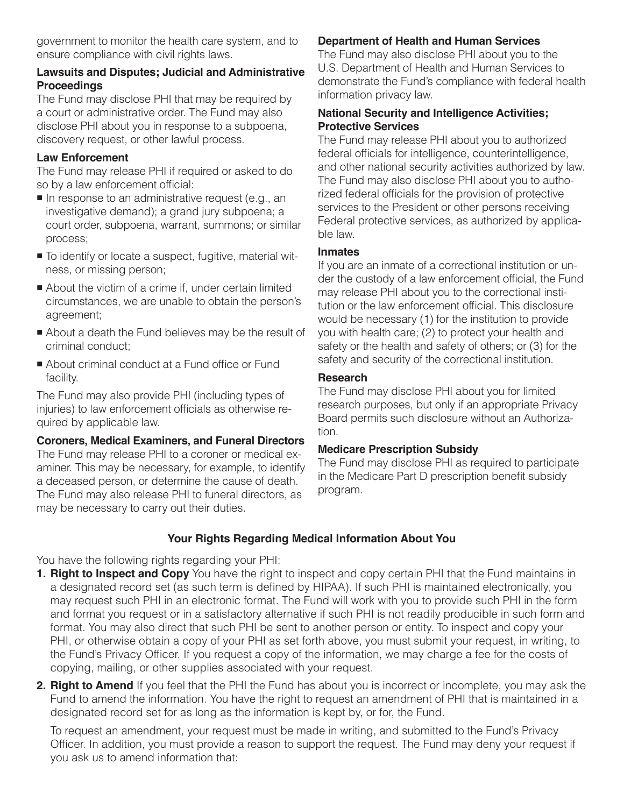government to monitor the health care system, and to ensure compliance with civil rights laws.

## **Lawsuits and Disputes; Judicial and Administrative Proceedings**

The Fund may disclose PHI that may be required by a court or administrative order. The Fund may also disclose PHI about you in response to a subpoena, discovery request, or other lawful process.

## **Law Enforcement**

The Fund may release PHI if required or asked to do so by a law enforcement official:

- $\blacksquare$  In response to an administrative request (e.g., an investigative demand); a grand jury subpoena; a court order, subpoena, warrant, summons; or similar process;
- $\blacksquare$  To identify or locate a suspect, fugitive, material witness, or missing person;
- About the victim of a crime if, under certain limited circumstances, we are unable to obtain the person's agreement;
- About a death the Fund believes may be the result of criminal conduct;
- About criminal conduct at a Fund office or Fund facility.

The Fund may also provide PHI (including types of injuries) to law enforcement officials as otherwise required by applicable law.

#### **Coroners, Medical Examiners, and Funeral Directors**

The Fund may release PHI to a coroner or medical examiner. This may be necessary, for example, to identify a deceased person, or determine the cause of death. The Fund may also release PHI to funeral directors, as may be necessary to carry out their duties.

## **Department of Health and Human Services**

The Fund may also disclose PHI about you to the U.S. Department of Health and Human Services to demonstrate the Fund's compliance with federal health information privacy law.

## **National Security and Intelligence Activities; Protective Services**

The Fund may release PHI about you to authorized federal officials for intelligence, counterintelligence, and other national security activities authorized by law. The Fund may also disclose PHI about you to authorized federal officials for the provision of protective services to the President or other persons receiving Federal protective services, as authorized by applicable law.

## **Inmates**

If you are an inmate of a correctional institution or under the custody of a law enforcement official, the Fund may release PHI about you to the correctional institution or the law enforcement official. This disclosure would be necessary (1) for the institution to provide you with health care; (2) to protect your health and safety or the health and safety of others; or (3) for the safety and security of the correctional institution.

## **Research**

The Fund may disclose PHI about you for limited research purposes, but only if an appropriate Privacy Board permits such disclosure without an Authorization.

## **Medicare Prescription Subsidy**

The Fund may disclose PHI as required to participate in the Medicare Part D prescription benefit subsidy program.

# **Your Rights Regarding Medical Information About You**

You have the following rights regarding your PHI:

- **1. Right to Inspect and Copy** You have the right to inspect and copy certain PHI that the Fund maintains in a designated record set (as such term is defined by HIPAA). If such PHI is maintained electronically, you may request such PHI in an electronic format. The Fund will work with you to provide such PHI in the form and format you request or in a satisfactory alternative if such PHI is not readily producible in such form and format. You may also direct that such PHI be sent to another person or entity. To inspect and copy your PHI, or otherwise obtain a copy of your PHI as set forth above, you must submit your request, in writing, to the Fund's Privacy Officer. If you request a copy of the information, we may charge a fee for the costs of copying, mailing, or other supplies associated with your request.
- **2. Right to Amend** If you feel that the PHI the Fund has about you is incorrect or incomplete, you may ask the Fund to amend the information. You have the right to request an amendment of PHI that is maintained in a designated record set for as long as the information is kept by, or for, the Fund.

To request an amendment, your request must be made in writing, and submitted to the Fund's Privacy Officer. In addition, you must provide a reason to support the request. The Fund may deny your request if you ask us to amend information that: